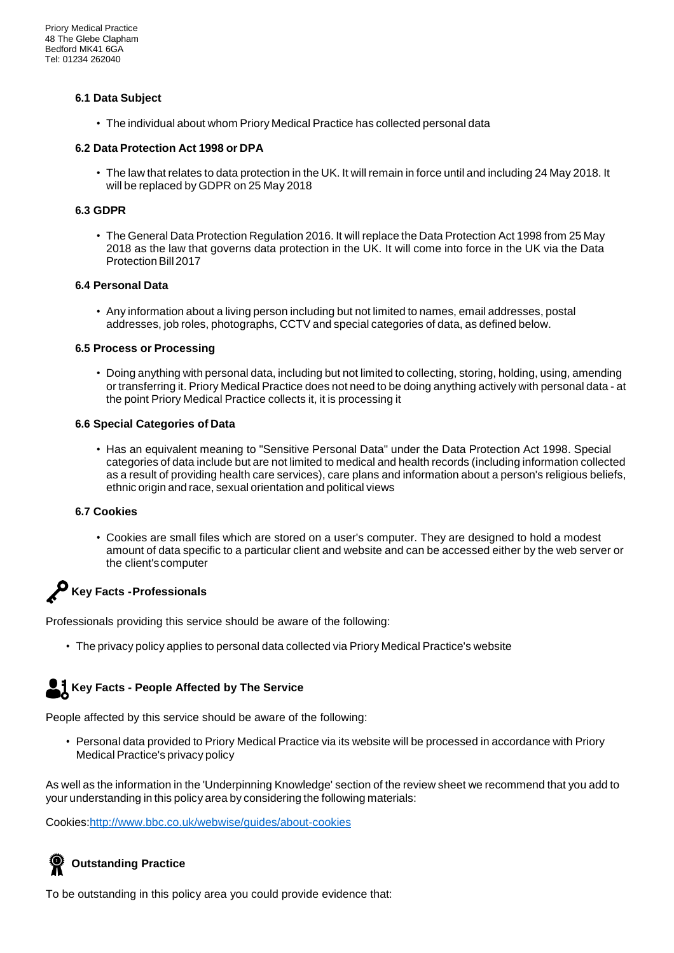### **6.1 Data Subject**

• The individual about whom Priory Medical Practice has collected personal data

### **6.2 Data Protection Act 1998 or DPA**

• The law that relates to data protection in the UK. It will remain in force until and including 24 May 2018. It will be replaced by GDPR on 25 May 2018

### **6.3 GDPR**

• The General Data Protection Regulation 2016. It will replace the Data Protection Act 1998 from 25 May 2018 as the law that governs data protection in the UK. It will come into force in the UK via the Data Protection Bill 2017

### **6.4 Personal Data**

• Any information about a living person including but not limited to names, email addresses, postal addresses, job roles, photographs, CCTV and special categories of data, as defined below.

### **6.5 Process or Processing**

• Doing anything with personal data, including but not limited to collecting, storing, holding, using, amending or transferring it. Priory Medical Practice does not need to be doing anything actively with personal data - at the point Priory Medical Practice collects it, it is processing it

### **6.6 Special Categories of Data**

• Has an equivalent meaning to "Sensitive Personal Data" under the Data Protection Act 1998. Special categories of data include but are not limited to medical and health records (including information collected as a result of providing health care services), care plans and information about a person's religious beliefs, ethnic origin and race, sexual orientation and political views

#### **6.7 Cookies**

• Cookies are small files which are stored on a user's computer. They are designed to hold a modest amount of data specific to a particular client and website and can be accessed either by the web server or the client'scomputer

# **Key Facts -Professionals**

Professionals providing this service should be aware of the following:

• The privacy policy applies to personal data collected via Priory Medical Practice's website

# **Key Facts - People Affected by The Service**

People affected by this service should be aware of the following:

• Personal data provided to Priory Medical Practice via its website will be processed in accordance with Priory Medical Practice's privacy policy

As well as the information in the 'Underpinning Knowledge' section of the review sheet we recommend that you add to your understanding in this policy area by considering the following materials:

Cookies[:http://www.bbc.co.uk/webwise/guides/about-cookies](https://ico.org.uk/for-the-public/online/cookies/)

# **Outstanding Practice**

To be outstanding in this policy area you could provide evidence that: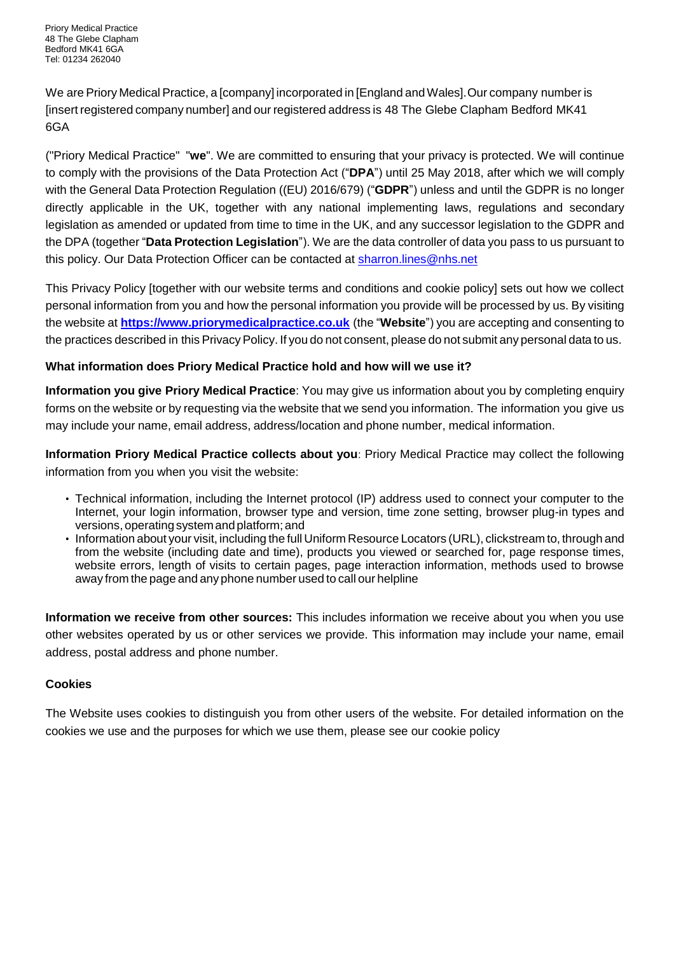We are Priory Medical Practice, a [company] incorporated in [England and Wales]. Our company number is [insert registered company number] and our registered address is 48 The Glebe Clapham Bedford MK41 6GA

("Priory Medical Practice" "**we**". We are committed to ensuring that your privacy is protected. We will continue to comply with the provisions of the Data Protection Act ("**DPA**") until 25 May 2018, after which we will comply with the General Data Protection Regulation ((EU) 2016/679) ("**GDPR**") unless and until the GDPR is no longer directly applicable in the UK, together with any national implementing laws, regulations and secondary legislation as amended or updated from time to time in the UK, and any successor legislation to the GDPR and the DPA (together "**Data Protection Legislation**"). We are the data controller of data you pass to us pursuant to this policy. Our Data Protection Officer can be contacted at [sharron.lines@nhs.net](mailto:sharron.lines@nhs.net)

This Privacy Policy [together with our website terms and conditions and cookie policy] sets out how we collect personal information from you and how the personal information you provide will be processed by us. By visiting the website at **[https://www.priorymedicalpractice.co.uk](https://www.priorymedicalpractice.co.uk/)** (the "**Website**") you are accepting and consenting to the practices described in this Privacy Policy. If you do not consent, please do not submit any personal data to us.

# **What information does Priory Medical Practice hold and how will we use it?**

**Information you give Priory Medical Practice**: You may give us information about you by completing enquiry forms on the website or by requesting via the website that we send you information. The information you give us may include your name, email address, address/location and phone number, medical information.

**Information Priory Medical Practice collects about you**: Priory Medical Practice may collect the following information from you when you visit the website:

- Technical information, including the Internet protocol (IP) address used to connect your computer to the Internet, your login information, browser type and version, time zone setting, browser plug-in types and versions,operating systemandplatform;and
- Information about your visit, including the full Uniform Resource Locators (URL), clickstream to, through and from the website (including date and time), products you viewed or searched for, page response times, website errors, length of visits to certain pages, page interaction information, methods used to browse away from the page and any phone number used to call our helpline

**Information we receive from other sources:** This includes information we receive about you when you use other websites operated by us or other services we provide. This information may include your name, email address, postal address and phone number.

# **Cookies**

The Website uses cookies to distinguish you from other users of the website. For detailed information on the cookies we use and the purposes for which we use them, please see our cookie policy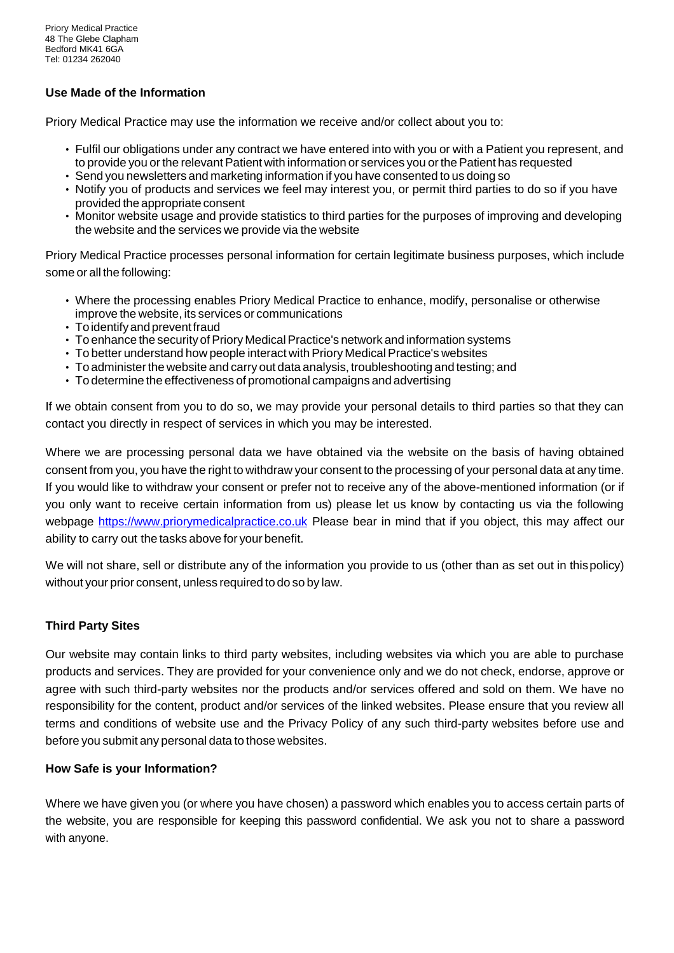# **Use Made of the Information**

Priory Medical Practice may use the information we receive and/or collect about you to:

- Fulfil our obligations under any contract we have entered into with you or with a Patient you represent, and to provide you or the relevant Patient with information or services you or the Patient has requested
- Send you newsletters and marketing information if you have consented to us doing so
- Notify you of products and services we feel may interest you, or permit third parties to do so if you have provided the appropriate consent
- Monitor website usage and provide statistics to third parties for the purposes of improving and developing the website and the services we provide via the website

Priory Medical Practice processes personal information for certain legitimate business purposes, which include some or all the following:

- Where the processing enables Priory Medical Practice to enhance, modify, personalise or otherwise improve the website, its services or communications
- Toidentifyandpreventfraud
- To enhance the security of Priory Medical Practice's network and information systems
- To better understand how people interact with Priory Medical Practice's websites
- To administerthe website and carry out data analysis, troubleshooting and testing; and
- To determine the effectiveness of promotional campaigns and advertising

If we obtain consent from you to do so, we may provide your personal details to third parties so that they can contact you directly in respect of services in which you may be interested.

Where we are processing personal data we have obtained via the website on the basis of having obtained consent from you, you have the right to withdraw your consent to the processing of your personal data at any time. If you would like to withdraw your consent or prefer not to receive any of the above-mentioned information (or if you only want to receive certain information from us) please let us know by contacting us via the following webpage [https://www.priorymedicalpractice.co.uk](https://www.priorymedicalpractice.co.uk/) Please bear in mind that if you object, this may affect our ability to carry out the tasks above for your benefit.

We will not share, sell or distribute any of the information you provide to us (other than as set out in thispolicy) without your prior consent, unless required to do so by law.

# **Third Party Sites**

Our website may contain links to third party websites, including websites via which you are able to purchase products and services. They are provided for your convenience only and we do not check, endorse, approve or agree with such third-party websites nor the products and/or services offered and sold on them. We have no responsibility for the content, product and/or services of the linked websites. Please ensure that you review all terms and conditions of website use and the Privacy Policy of any such third-party websites before use and before you submit any personal data to those websites.

### **How Safe is your Information?**

Where we have given you (or where you have chosen) a password which enables you to access certain parts of the website, you are responsible for keeping this password confidential. We ask you not to share a password with anyone.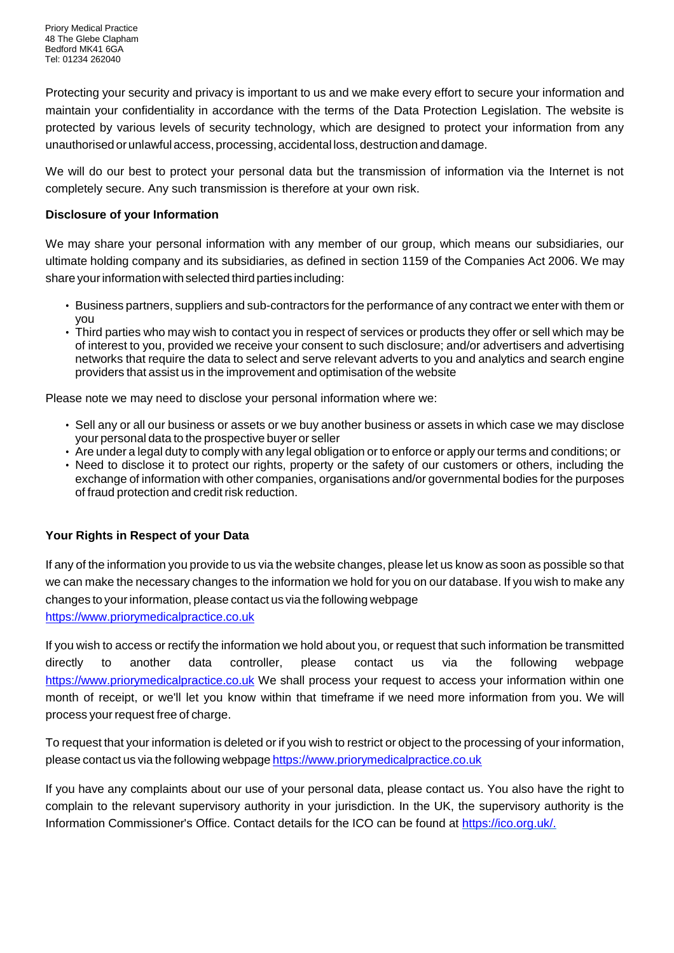Protecting your security and privacy is important to us and we make every effort to secure your information and maintain your confidentiality in accordance with the terms of the Data Protection Legislation. The website is protected by various levels of security technology, which are designed to protect your information from any unauthorised orunlawful access,processing,accidental loss,destruction anddamage.

We will do our best to protect your personal data but the transmission of information via the Internet is not completely secure. Any such transmission is therefore at your own risk.

# **Disclosure of your Information**

We may share your personal information with any member of our group, which means our subsidiaries, our ultimate holding company and its subsidiaries, as defined in section 1159 of the Companies Act 2006. We may share your information with selected third parties including:

- Business partners, suppliers and sub-contractors for the performance of any contract we enter with them or you
- Third parties who may wish to contact you in respect of services or products they offer or sell which may be of interest to you, provided we receive your consent to such disclosure; and/or advertisers and advertising networks that require the data to select and serve relevant adverts to you and analytics and search engine providers that assist us in the improvement and optimisation of the website

Please note we may need to disclose your personal information where we:

- Sell any or all our business or assets or we buy another business or assets in which case we may disclose your personal data to the prospective buyer or seller
- Are under a legal duty to comply with any legal obligation or to enforce or apply our terms and conditions; or
- Need to disclose it to protect our rights, property or the safety of our customers or others, including the exchange of information with other companies, organisations and/or governmental bodies for the purposes of fraud protection and credit risk reduction.

# **Your Rights in Respect of your Data**

If any of the information you provide to us via the website changes, please let us know as soon as possible so that we can make the necessary changes to the information we hold for you on our database. If you wish to make any changes to yourinformation, please contact us via the following webpage [https://www.priorymedicalpractice.co.uk](https://www.priorymedicalpractice.co.uk/)

If you wish to access or rectify the information we hold about you, or request that such information be transmitted directly to another data controller, please contact us via the following webpage [https://www.priorymedicalpractice.co.uk](https://www.priorymedicalpractice.co.uk/) We shall process your request to access your information within one month of receipt, or we'll let you know within that timeframe if we need more information from you. We will process your request free of charge.

To request that your information is deleted or if you wish to restrict or object to the processing of your information, please contact us via the following webpage [https://www.priorymedicalpractice.co.uk](https://www.priorymedicalpractice.co.uk/)

If you have any complaints about our use of your personal data, please contact us. You also have the right to complain to the relevant supervisory authority in your jurisdiction. In the UK, the supervisory authority is the Information Commissioner's Office. Contact details for the ICO can be found at https://ico.org.uk/.